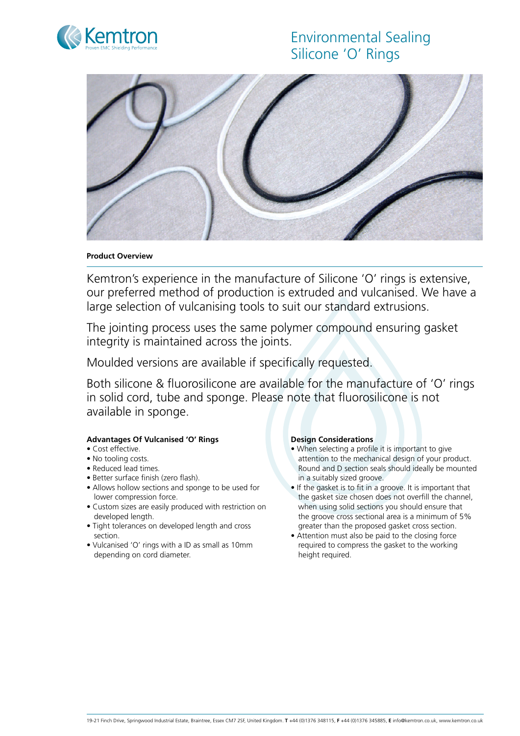# Environmental Sealing Silicone 'O' Rings





### **Product Overview**

Kemtron's experience in the manufacture of Silicone 'O' rings is extensive, our preferred method of production is extruded and vulcanised. We have a large selection of vulcanising tools to suit our standard extrusions.

The jointing process uses the same polymer compound ensuring gasket integrity is maintained across the joints.

Moulded versions are available if specifically requested.

Both silicone & fluorosilicone are available for the manufacture of 'O' rings in solid cord, tube and sponge. Please note that fluorosilicone is not available in sponge.

### **Advantages Of Vulcanised 'O' Rings**

- Cost effective.
- No tooling costs.
- Reduced lead times.
- Better surface finish (zero flash).
- Allows hollow sections and sponge to be used for lower compression force.
- Custom sizes are easily produced with restriction on developed length.
- Tight tolerances on developed length and cross section.
- Vulcanised 'O' rings with a ID as small as 10mm depending on cord diameter.

### **Design Considerations**

- When selecting a profile it is important to give attention to the mechanical design of your product. Round and D section seals should ideally be mounted in a suitably sized groove.
- If the gasket is to fit in a groove. It is important that the gasket size chosen does not overfill the channel, when using solid sections you should ensure that the groove cross sectional area is a minimum of 5% greater than the proposed gasket cross section.
- Attention must also be paid to the closing force required to compress the gasket to the working height required.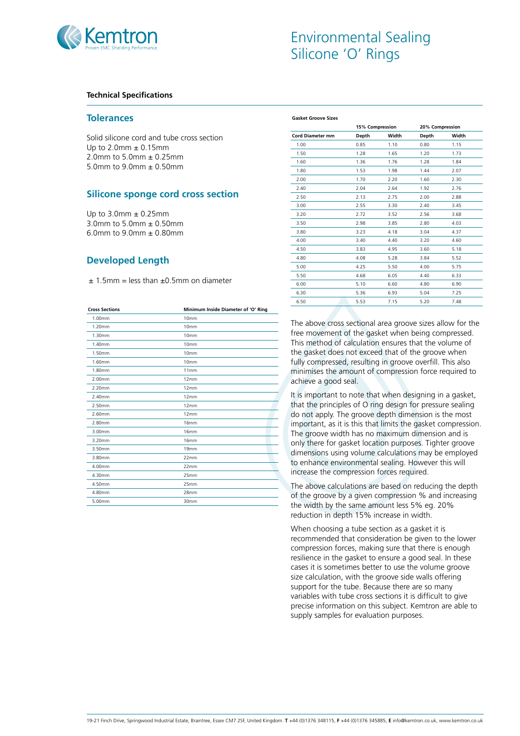

### **Technical Specifications**

### **Tolerances**

Solid silicone cord and tube cross section Up to  $2.0$ mm  $\pm 0.15$ mm 2.0mm to 5.0mm ± 0.25mm 5.0mm to 9.0mm ± 0.50mm

## **Silicone sponge cord cross section**

Up to 3.0mm ± 0.25mm 3.0mm to 5.0mm ± 0.50mm 6.0mm to 9.0mm ± 0.80mm

# **Developed Length**

 $± 1.5$ mm = less than  $± 0.5$ mm on diameter

| Minimum Inside Diameter of 'O' Ring |
|-------------------------------------|
| 10mm                                |
| 10mm                                |
| 10mm                                |
| 10mm                                |
| 10mm                                |
| 10mm                                |
| 11mm                                |
| 12mm                                |
| 12mm                                |
| 12mm                                |
| 12mm                                |
| 12mm                                |
| 16mm                                |
| 16mm                                |
| 16mm                                |
| 19 <sub>mm</sub>                    |
| 22mm                                |
| 22mm                                |
| 25mm                                |
| 25mm                                |
| 28mm                                |
| 30mm                                |
|                                     |

| <b>Gasket Groove Sizes</b> |                 |       |                 |       |
|----------------------------|-----------------|-------|-----------------|-------|
|                            | 15% Compression |       | 20% Compression |       |
| <b>Cord Diameter mm</b>    | Depth           | Width | Depth           | Width |
| 1.00                       | 0.85            | 1.10  | 0.80            | 1.15  |
| 1.50                       | 1.28            | 1.65  | 1.20            | 1.73  |
| 1.60                       | 1.36            | 1.76  | 1.28            | 1.84  |
| 1.80                       | 1.53            | 1.98  | 1.44            | 2.07  |
| 2.00                       | 1.70            | 2.20  | 1.60            | 2.30  |
| 2.40                       | 2.04            | 2.64  | 1.92            | 2.76  |
| 2.50                       | 2.13            | 2.75  | 2.00            | 2.88  |
| 3.00                       | 2.55            | 3.30  | 2.40            | 3.45  |
| 3.20                       | 2.72            | 3.52  | 2.56            | 3.68  |
| 3.50                       | 2.98            | 3.85  | 2.80            | 4.03  |
| 3.80                       | 3.23            | 4.18  | 3.04            | 4.37  |
| 4.00                       | 3.40            | 4.40  | 3.20            | 4.60  |
| 4.50                       | 3.83            | 4.95  | 3.60            | 5.18  |
| 4.80                       | 4.08            | 5.28  | 3.84            | 5.52  |
| 5.00                       | 4.25            | 5.50  | 4.00            | 5.75  |
| 5.50                       | 4.68            | 6.05  | 4.40            | 6.33  |
| 6.00                       | 5.10            | 6.60  | 4.80            | 6.90  |
| 6.30                       | 5.36            | 6.93  | 5.04            | 7.25  |
| 6.50                       | 5.53            | 7.15  | 5.20            | 7.48  |
|                            |                 |       |                 |       |

The above cross sectional area groove sizes allow for the free movement of the gasket when being compressed. This method of calculation ensures that the volume of the gasket does not exceed that of the groove when fully compressed, resulting in groove overfill. This also minimises the amount of compression force required to achieve a good seal.

It is important to note that when designing in a gasket, that the principles of O ring design for pressure sealing do not apply. The groove depth dimension is the most important, as it is this that limits the gasket compression. The groove width has no maximum dimension and is only there for gasket location purposes. Tighter groove dimensions using volume calculations may be employed to enhance environmental sealing. However this will increase the compression forces required.

The above calculations are based on reducing the depth of the groove by a given compression % and increasing the width by the same amount less 5% eg. 20% reduction in depth 15% increase in width.

When choosing a tube section as a gasket it is recommended that consideration be given to the lower compression forces, making sure that there is enough resilience in the gasket to ensure a good seal. In these cases it is sometimes better to use the volume groove size calculation, with the groove side walls offering support for the tube. Because there are so many variables with tube cross sections it is difficult to give precise information on this subject. Kemtron are able to supply samples for evaluation purposes.